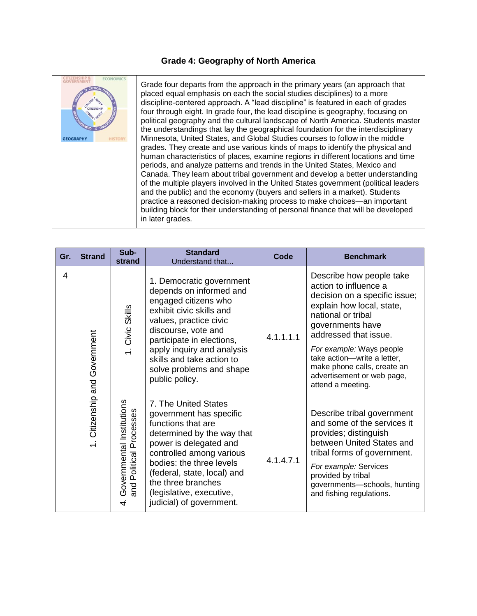## **Grade 4: Geography of North America**



Grade four departs from the approach in the primary years (an approach that placed equal emphasis on each the social studies disciplines) to a more discipline-centered approach. A "lead discipline" is featured in each of grades four through eight. In grade four, the lead discipline is geography, focusing on political geography and the cultural landscape of North America. Students master the understandings that lay the geographical foundation for the interdisciplinary Minnesota, United States, and Global Studies courses to follow in the middle grades. They create and use various kinds of maps to identify the physical and human characteristics of places, examine regions in different locations and time periods, and analyze patterns and trends in the United States, Mexico and Canada. They learn about tribal government and develop a better understanding of the multiple players involved in the United States government (political leaders and the public) and the economy (buyers and sellers in a market). Students practice a reasoned decision-making process to make choices—an important building block for their understanding of personal finance that will be developed in later grades.

| Gr. | <b>Strand</b>                 | Sub-<br>strand                                                | <b>Standard</b><br>Understand that                                                                                                                                                                                                                                                                 | Code      | <b>Benchmark</b>                                                                                                                                                                                                                                                                                                                |
|-----|-------------------------------|---------------------------------------------------------------|----------------------------------------------------------------------------------------------------------------------------------------------------------------------------------------------------------------------------------------------------------------------------------------------------|-----------|---------------------------------------------------------------------------------------------------------------------------------------------------------------------------------------------------------------------------------------------------------------------------------------------------------------------------------|
| 4   | 1. Citizenship and Government | 1. Civic Skills                                               | 1. Democratic government<br>depends on informed and<br>engaged citizens who<br>exhibit civic skills and<br>values, practice civic<br>discourse, vote and<br>participate in elections,<br>apply inquiry and analysis<br>skills and take action to<br>solve problems and shape<br>public policy.     | 4.1.1.1.1 | Describe how people take<br>action to influence a<br>decision on a specific issue;<br>explain how local, state,<br>national or tribal<br>governments have<br>addressed that issue.<br>For example: Ways people<br>take action-write a letter,<br>make phone calls, create an<br>advertisement or web page,<br>attend a meeting. |
|     |                               | Governmental Institutions<br>Political Processes<br>and<br>4. | 7. The United States<br>government has specific<br>functions that are<br>determined by the way that<br>power is delegated and<br>controlled among various<br>bodies: the three levels<br>(federal, state, local) and<br>the three branches<br>(legislative, executive,<br>judicial) of government. | 4.1.4.7.1 | Describe tribal government<br>and some of the services it<br>provides; distinguish<br>between United States and<br>tribal forms of government.<br>For example: Services<br>provided by tribal<br>governments-schools, hunting<br>and fishing regulations.                                                                       |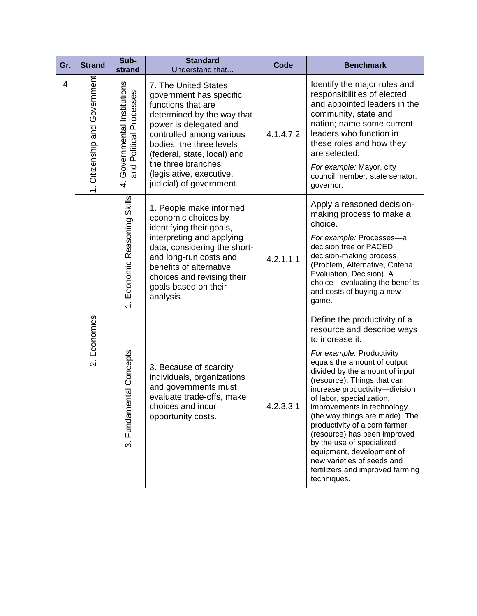| Gr. | <b>Strand</b>                        | Sub-<br>strand                                             | <b>Standard</b><br>Understand that                                                                                                                                                                                                                                                                 | Code      | <b>Benchmark</b>                                                                                                                                                                                                                                                                                                                                                                                                                                                                                                                                      |
|-----|--------------------------------------|------------------------------------------------------------|----------------------------------------------------------------------------------------------------------------------------------------------------------------------------------------------------------------------------------------------------------------------------------------------------|-----------|-------------------------------------------------------------------------------------------------------------------------------------------------------------------------------------------------------------------------------------------------------------------------------------------------------------------------------------------------------------------------------------------------------------------------------------------------------------------------------------------------------------------------------------------------------|
| 4   | 1. Citizenship and Government        | Governmental Institutions<br>and Political Processes<br>4. | 7. The United States<br>government has specific<br>functions that are<br>determined by the way that<br>power is delegated and<br>controlled among various<br>bodies: the three levels<br>(federal, state, local) and<br>the three branches<br>(legislative, executive,<br>judicial) of government. | 4.1.4.7.2 | Identify the major roles and<br>responsibilities of elected<br>and appointed leaders in the<br>community, state and<br>nation; name some current<br>leaders who function in<br>these roles and how they<br>are selected.<br>For example: Mayor, city<br>council member, state senator,<br>governor.                                                                                                                                                                                                                                                   |
|     |                                      | 1. Economic Reasoning Skills                               | 1. People make informed<br>economic choices by<br>identifying their goals,<br>interpreting and applying<br>data, considering the short-<br>and long-run costs and<br>benefits of alternative<br>choices and revising their<br>goals based on their<br>analysis.                                    | 4.2.1.1.1 | Apply a reasoned decision-<br>making process to make a<br>choice.<br>For example: Processes-a<br>decision tree or PACED<br>decision-making process<br>(Problem, Alternative, Criteria,<br>Evaluation, Decision). A<br>choice-evaluating the benefits<br>and costs of buying a new<br>game.                                                                                                                                                                                                                                                            |
|     | Economics<br>$\overline{\mathsf{N}}$ | 3. Fundamental Concepts                                    | 3. Because of scarcity<br>individuals, organizations<br>and governments must<br>evaluate trade-offs, make<br>choices and incur<br>opportunity costs.                                                                                                                                               | 4.2.3.3.1 | Define the productivity of a<br>resource and describe ways<br>to increase it.<br>For example: Productivity<br>equals the amount of output<br>divided by the amount of input<br>(resource). Things that can<br>increase productivity-division<br>of labor, specialization,<br>improvements in technology<br>(the way things are made). The<br>productivity of a corn farmer<br>(resource) has been improved<br>by the use of specialized<br>equipment, development of<br>new varieties of seeds and<br>fertilizers and improved farming<br>techniques. |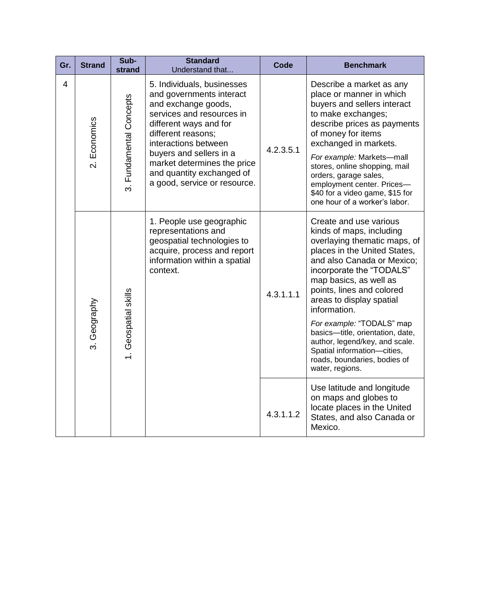| Gr. | <b>Strand</b> | Sub-<br>strand          | <b>Standard</b><br>Understand that                                                                                                                                                                                                                                                                        | Code      | <b>Benchmark</b>                                                                                                                                                                                                                                                                                                                                                                                                                                                     |
|-----|---------------|-------------------------|-----------------------------------------------------------------------------------------------------------------------------------------------------------------------------------------------------------------------------------------------------------------------------------------------------------|-----------|----------------------------------------------------------------------------------------------------------------------------------------------------------------------------------------------------------------------------------------------------------------------------------------------------------------------------------------------------------------------------------------------------------------------------------------------------------------------|
| 4   | 2. Economics  | 3. Fundamental Concepts | 5. Individuals, businesses<br>and governments interact<br>and exchange goods,<br>services and resources in<br>different ways and for<br>different reasons;<br>interactions between<br>buyers and sellers in a<br>market determines the price<br>and quantity exchanged of<br>a good, service or resource. | 4.2.3.5.1 | Describe a market as any<br>place or manner in which<br>buyers and sellers interact<br>to make exchanges;<br>describe prices as payments<br>of money for items<br>exchanged in markets.<br>For example: Markets-mall<br>stores, online shopping, mail<br>orders, garage sales,<br>employment center. Prices-<br>\$40 for a video game, \$15 for<br>one hour of a worker's labor.                                                                                     |
|     | 3. Geography  | 1. Geospatial skills    | 1. People use geographic<br>representations and<br>geospatial technologies to<br>acquire, process and report<br>information within a spatial<br>context.                                                                                                                                                  | 4.3.1.1.1 | Create and use various<br>kinds of maps, including<br>overlaying thematic maps, of<br>places in the United States,<br>and also Canada or Mexico;<br>incorporate the "TODALS"<br>map basics, as well as<br>points, lines and colored<br>areas to display spatial<br>information.<br>For example: "TODALS" map<br>basics-title, orientation, date,<br>author, legend/key, and scale.<br>Spatial information-cities,<br>roads, boundaries, bodies of<br>water, regions. |
|     |               |                         |                                                                                                                                                                                                                                                                                                           | 4.3.1.1.2 | Use latitude and longitude<br>on maps and globes to<br>locate places in the United<br>States, and also Canada or<br>Mexico.                                                                                                                                                                                                                                                                                                                                          |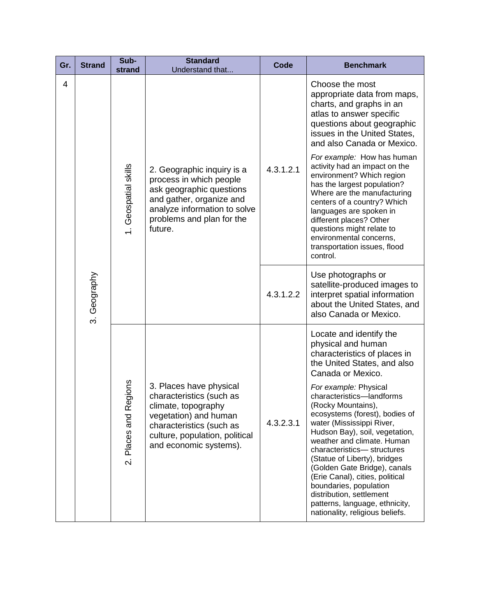| Gr. | <b>Strand</b> | Sub-<br>strand                                       | <b>Standard</b><br>Understand that                                                                                                                                                          | Code      | <b>Benchmark</b>                                                                                                                                                                                                                                                                                                                                                                                                                                                    |
|-----|---------------|------------------------------------------------------|---------------------------------------------------------------------------------------------------------------------------------------------------------------------------------------------|-----------|---------------------------------------------------------------------------------------------------------------------------------------------------------------------------------------------------------------------------------------------------------------------------------------------------------------------------------------------------------------------------------------------------------------------------------------------------------------------|
| 4   | 3. Geography  | 1. Geospatial skills                                 | 2. Geographic inquiry is a<br>process in which people<br>ask geographic questions<br>and gather, organize and<br>analyze information to solve<br>problems and plan for the<br>future.       | 4.3.1.2.1 | Choose the most<br>appropriate data from maps,<br>charts, and graphs in an<br>atlas to answer specific<br>questions about geographic<br>issues in the United States,<br>and also Canada or Mexico.                                                                                                                                                                                                                                                                  |
|     |               |                                                      |                                                                                                                                                                                             |           | For example: How has human<br>activity had an impact on the<br>environment? Which region<br>has the largest population?<br>Where are the manufacturing<br>centers of a country? Which<br>languages are spoken in<br>different places? Other<br>questions might relate to<br>environmental concerns,<br>transportation issues, flood<br>control.                                                                                                                     |
|     |               |                                                      |                                                                                                                                                                                             | 4.3.1.2.2 | Use photographs or<br>satellite-produced images to<br>interpret spatial information<br>about the United States, and<br>also Canada or Mexico.                                                                                                                                                                                                                                                                                                                       |
|     |               | egions<br>œ<br>Places and<br>$\overline{\mathsf{N}}$ | 3. Places have physical<br>characteristics (such as<br>climate, topography<br>vegetation) and human<br>characteristics (such as<br>culture, population, political<br>and economic systems). |           | Locate and identify the<br>physical and human<br>characteristics of places in<br>the United States, and also<br>Canada or Mexico.                                                                                                                                                                                                                                                                                                                                   |
|     |               |                                                      |                                                                                                                                                                                             | 4.3.2.3.1 | For example: Physical<br>characteristics-landforms<br>(Rocky Mountains),<br>ecosystems (forest), bodies of<br>water (Mississippi River,<br>Hudson Bay), soil, vegetation,<br>weather and climate. Human<br>characteristics-structures<br>(Statue of Liberty), bridges<br>(Golden Gate Bridge), canals<br>(Erie Canal), cities, political<br>boundaries, population<br>distribution, settlement<br>patterns, language, ethnicity,<br>nationality, religious beliefs. |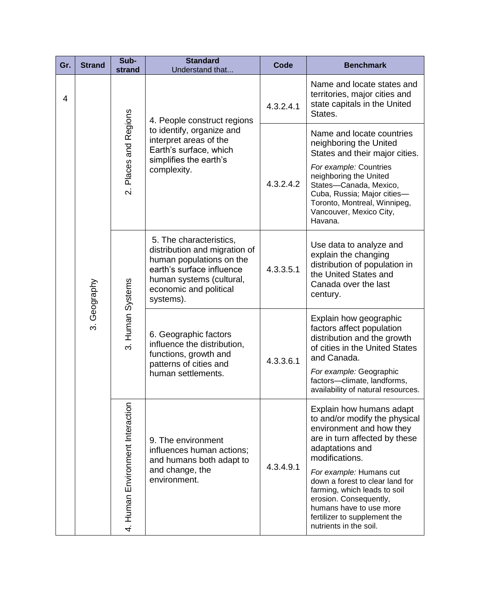| Gr.            | <b>Strand</b>  | Sub-<br>strand                                | <b>Standard</b><br>Understand that                                                                                                                                                   | <b>Code</b> | <b>Benchmark</b>                                                                                                                                                                                          |
|----------------|----------------|-----------------------------------------------|--------------------------------------------------------------------------------------------------------------------------------------------------------------------------------------|-------------|-----------------------------------------------------------------------------------------------------------------------------------------------------------------------------------------------------------|
| $\overline{4}$ |                | Places and Regions<br>$\overline{\mathsf{N}}$ | 4. People construct regions<br>to identify, organize and<br>interpret areas of the<br>Earth's surface, which<br>simplifies the earth's<br>complexity.                                | 4.3.2.4.1   | Name and locate states and<br>territories, major cities and<br>state capitals in the United<br>States.                                                                                                    |
|                |                |                                               |                                                                                                                                                                                      | 4.3.2.4.2   | Name and locate countries<br>neighboring the United<br>States and their major cities.<br>For example: Countries<br>neighboring the United<br>States-Canada, Mexico,<br>Cuba, Russia; Major cities-        |
|                |                |                                               |                                                                                                                                                                                      |             | Toronto, Montreal, Winnipeg,<br>Vancouver, Mexico City,<br>Havana.                                                                                                                                        |
|                | Geography<br>က | 3. Human Systems                              | 5. The characteristics,<br>distribution and migration of<br>human populations on the<br>earth's surface influence<br>human systems (cultural,<br>economic and political<br>systems). | 4.3.3.5.1   | Use data to analyze and<br>explain the changing<br>distribution of population in<br>the United States and<br>Canada over the last<br>century.                                                             |
|                |                |                                               | 6. Geographic factors<br>influence the distribution,<br>functions, growth and<br>patterns of cities and<br>human settlements.                                                        | 4.3.3.6.1   | Explain how geographic<br>factors affect population<br>distribution and the growth<br>of cities in the United States<br>and Canada.                                                                       |
|                |                |                                               |                                                                                                                                                                                      |             | For example: Geographic<br>factors-climate, landforms,<br>availability of natural resources.                                                                                                              |
|                |                |                                               | 4. Human Environment Interaction<br>9. The environment<br>influences human actions;<br>and humans both adapt to<br>and change, the<br>environment.                                   |             | Explain how humans adapt<br>to and/or modify the physical<br>environment and how they<br>are in turn affected by these<br>adaptations and<br>modifications.                                               |
|                |                |                                               |                                                                                                                                                                                      | 4.3.4.9.1   | For example: Humans cut<br>down a forest to clear land for<br>farming, which leads to soil<br>erosion. Consequently,<br>humans have to use more<br>fertilizer to supplement the<br>nutrients in the soil. |